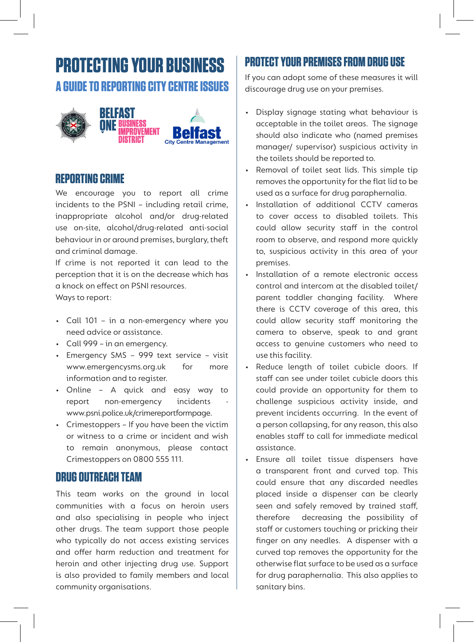# **PROTECTING YOUR BUSINESS A GUIDE TO REPORTING CITY CENTRE ISSUES**



## **REPORTING CRIME**

We encourage you to report all crime incidents to the PSNI – including retail crime, inappropriate alcohol and/or drug-related use on-site, alcohol/drug-related anti-social behaviour in or around premises, burglary, theft and criminal damage.

If crime is not reported it can lead to the perception that it is on the decrease which has a knock on effect on PSNI resources. Ways to report:

- Call 101 in a non-emergency where you need advice or assistance.
- Call 999 in an emergency.
- Emergency SMS 999 text service visit www.emergencysms.org.uk for more information and to register.
- Online A quick and easy way to report non-emergency incidents www.psni.police.uk/crimereportformpage.
- Crimestoppers If you have been the victim or witness to a crime or incident and wish to remain anonymous, please contact Crimestoppers on 0800 555 111.

## **DRUG OUTREACH TEAM**

This team works on the ground in local communities with a focus on heroin users and also specialising in people who inject other drugs. The team support those people who typically do not access existing services and offer harm reduction and treatment for heroin and other injecting drug use. Support is also provided to family members and local community organisations.

## **PROTECT YOUR PREMISES FROM DRUG USE**

If you can adopt some of these measures it will discourage drug use on your premises.

- Display signage stating what behaviour is acceptable in the toilet areas. The signage should also indicate who (named premises manager/ supervisor) suspicious activity in the toilets should be reported to.
- Removal of toilet seat lids. This simple tip removes the opportunity for the flat lid to be used as a surface for drug paraphernalia.
- Installation of additional CCTV cameras to cover access to disabled toilets. This could allow security staff in the control room to observe, and respond more quickly to, suspicious activity in this area of your premises.
- Installation of a remote electronic access control and intercom at the disabled toilet/ parent toddler changing facility. Where there is CCTV coverage of this area, this could allow security staff monitoring the camera to observe, speak to and grant access to genuine customers who need to use this facility.
- Reduce length of toilet cubicle doors. If staff can see under toilet cubicle doors this could provide an opportunity for them to challenge suspicious activity inside, and prevent incidents occurring. In the event of a person collapsing, for any reason, this also enables staff to call for immediate medical assistance.
- Ensure all toilet tissue dispensers have a transparent front and curved top. This could ensure that any discarded needles placed inside a dispenser can be clearly seen and safely removed by trained staff, therefore decreasing the possibility of staff or customers touching or pricking their finger on any needles. A dispenser with a curved top removes the opportunity for the otherwise flat surface to be used as a surface for drug paraphernalia. This also applies to sanitary bins.